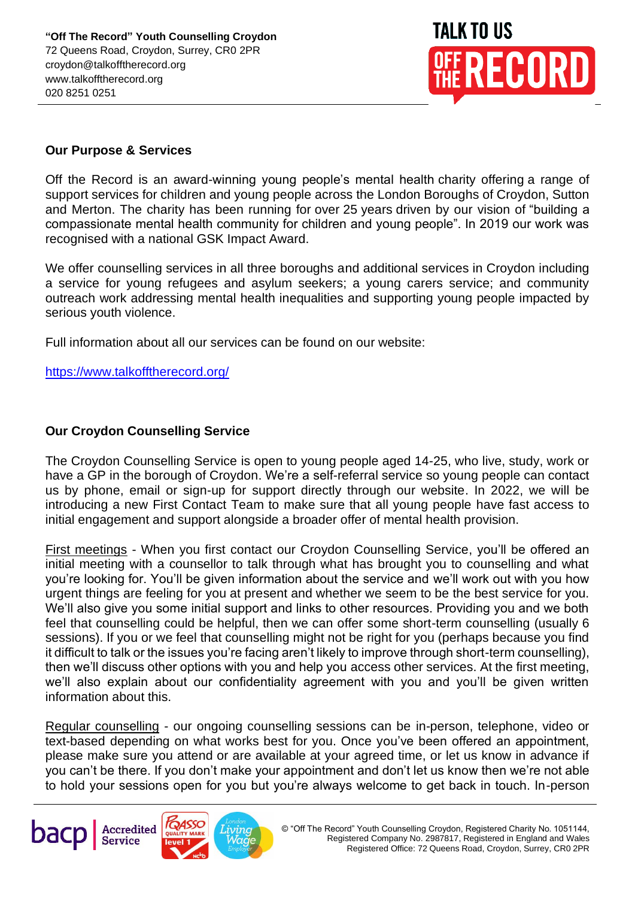

## **Our Purpose & Services**

Off the Record is an award-winning young people's mental health charity offering a range of support services for children and young people across the London Boroughs of Croydon, Sutton and Merton. The charity has been running for over 25 years driven by our vision of "building a compassionate mental health community for children and young people". In 2019 our work was recognised with a national GSK Impact Award.

We offer counselling services in all three boroughs and additional services in Croydon including a service for young refugees and asylum seekers; a young carers service; and community outreach work addressing mental health inequalities and supporting young people impacted by serious youth violence.

Full information about all our services can be found on our website:

<https://www.talkofftherecord.org/>

## **Our Croydon Counselling Service**

The Croydon Counselling Service is open to young people aged 14-25, who live, study, work or have a GP in the borough of Croydon. We're a self-referral service so young people can contact us by phone, email or sign-up for support directly through our website. In 2022, we will be introducing a new First Contact Team to make sure that all young people have fast access to initial engagement and support alongside a broader offer of mental health provision.

First meetings - When you first contact our Croydon Counselling Service, you'll be offered an initial meeting with a counsellor to talk through what has brought you to counselling and what you're looking for. You'll be given information about the service and we'll work out with you how urgent things are feeling for you at present and whether we seem to be the best service for you. We'll also give you some initial support and links to other resources. Providing you and we both feel that counselling could be helpful, then we can offer some short-term counselling (usually 6 sessions). If you or we feel that counselling might not be right for you (perhaps because you find it difficult to talk or the issues you're facing aren't likely to improve through short-term counselling), then we'll discuss other options with you and help you access other services. At the first meeting, we'll also explain about our confidentiality agreement with you and you'll be given written information about this.

Regular counselling - our ongoing counselling sessions can be in-person, telephone, video or text-based depending on what works best for you. Once you've been offered an appointment, please make sure you attend or are available at your agreed time, or let us know in advance if you can't be there. If you don't make your appointment and don't let us know then we're not able to hold your sessions open for you but you're always welcome to get back in touch. In-person